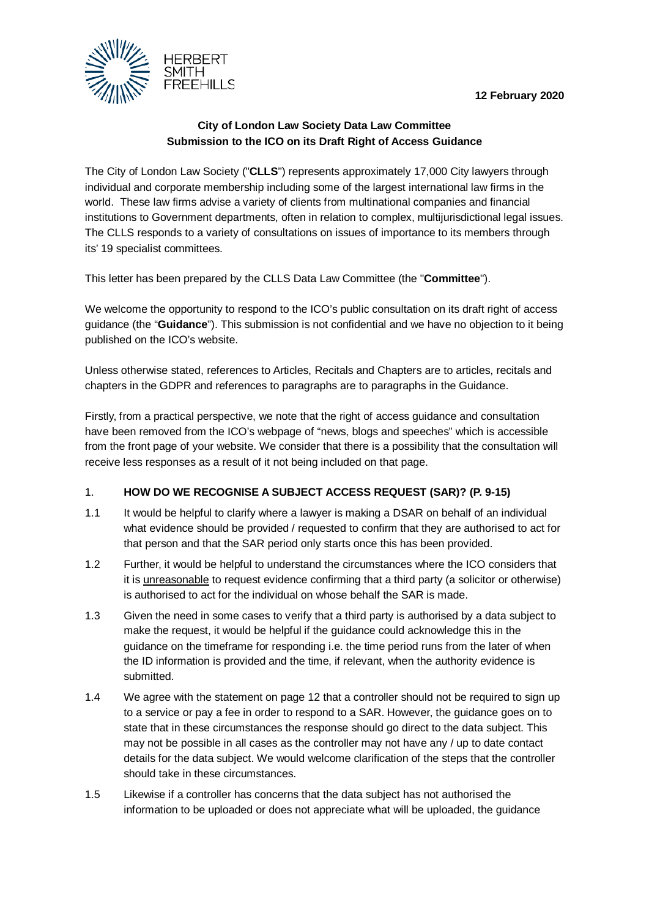**12 February 2020**



# **City of London Law Society Data Law Committee Submission to the ICO on its Draft Right of Access Guidance**

The City of London Law Society ("**CLLS**") represents approximately 17,000 City lawyers through individual and corporate membership including some of the largest international law firms in the world. These law firms advise a variety of clients from multinational companies and financial institutions to Government departments, often in relation to complex, multijurisdictional legal issues. The CLLS responds to a variety of consultations on issues of importance to its members through its' 19 specialist committees.

This letter has been prepared by the CLLS Data Law Committee (the "**Committee**").

We welcome the opportunity to respond to the ICO's public consultation on its draft right of access guidance (the "**Guidance**"). This submission is not confidential and we have no objection to it being published on the ICO's website.

Unless otherwise stated, references to Articles, Recitals and Chapters are to articles, recitals and chapters in the GDPR and references to paragraphs are to paragraphs in the Guidance.

Firstly, from a practical perspective, we note that the right of access guidance and consultation have been removed from the ICO's webpage of "news, blogs and speeches" which is accessible from the front page of your website. We consider that there is a possibility that the consultation will receive less responses as a result of it not being included on that page.

## 1. **HOW DO WE RECOGNISE A SUBJECT ACCESS REQUEST (SAR)? (P. 9-15)**

- 1.1 It would be helpful to clarify where a lawyer is making a DSAR on behalf of an individual what evidence should be provided / requested to confirm that they are authorised to act for that person and that the SAR period only starts once this has been provided.
- 1.2 Further, it would be helpful to understand the circumstances where the ICO considers that it is unreasonable to request evidence confirming that a third party (a solicitor or otherwise) is authorised to act for the individual on whose behalf the SAR is made.
- 1.3 Given the need in some cases to verify that a third party is authorised by a data subject to make the request, it would be helpful if the guidance could acknowledge this in the guidance on the timeframe for responding i.e. the time period runs from the later of when the ID information is provided and the time, if relevant, when the authority evidence is submitted.
- 1.4 We agree with the statement on page 12 that a controller should not be required to sign up to a service or pay a fee in order to respond to a SAR. However, the guidance goes on to state that in these circumstances the response should go direct to the data subject. This may not be possible in all cases as the controller may not have any / up to date contact details for the data subject. We would welcome clarification of the steps that the controller should take in these circumstances.
- 1.5 Likewise if a controller has concerns that the data subject has not authorised the information to be uploaded or does not appreciate what will be uploaded, the guidance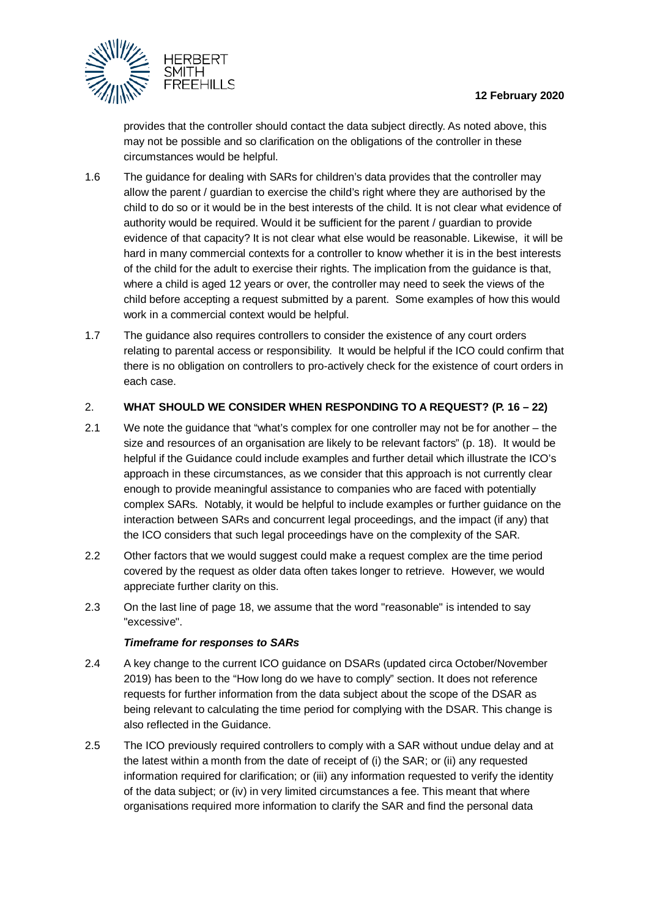

provides that the controller should contact the data subject directly. As noted above, this may not be possible and so clarification on the obligations of the controller in these circumstances would be helpful.

- 1.6 The guidance for dealing with SARs for children's data provides that the controller may allow the parent / guardian to exercise the child's right where they are authorised by the child to do so or it would be in the best interests of the child. It is not clear what evidence of authority would be required. Would it be sufficient for the parent / guardian to provide evidence of that capacity? It is not clear what else would be reasonable. Likewise, it will be hard in many commercial contexts for a controller to know whether it is in the best interests of the child for the adult to exercise their rights. The implication from the guidance is that, where a child is aged 12 years or over, the controller may need to seek the views of the child before accepting a request submitted by a parent. Some examples of how this would work in a commercial context would be helpful.
- 1.7 The guidance also requires controllers to consider the existence of any court orders relating to parental access or responsibility. It would be helpful if the ICO could confirm that there is no obligation on controllers to pro-actively check for the existence of court orders in each case.

#### 2. **WHAT SHOULD WE CONSIDER WHEN RESPONDING TO A REQUEST? (P. 16 – 22)**

- 2.1 We note the guidance that "what's complex for one controller may not be for another the size and resources of an organisation are likely to be relevant factors" (p. 18). It would be helpful if the Guidance could include examples and further detail which illustrate the ICO's approach in these circumstances, as we consider that this approach is not currently clear enough to provide meaningful assistance to companies who are faced with potentially complex SARs. Notably, it would be helpful to include examples or further guidance on the interaction between SARs and concurrent legal proceedings, and the impact (if any) that the ICO considers that such legal proceedings have on the complexity of the SAR.
- 2.2 Other factors that we would suggest could make a request complex are the time period covered by the request as older data often takes longer to retrieve. However, we would appreciate further clarity on this.
- 2.3 On the last line of page 18, we assume that the word "reasonable" is intended to say "excessive".

#### *Timeframe for responses to SARs*

- 2.4 A key change to the current ICO guidance on DSARs (updated circa October/November 2019) has been to the "How long do we have to comply" section. It does not reference requests for further information from the data subject about the scope of the DSAR as being relevant to calculating the time period for complying with the DSAR. This change is also reflected in the Guidance.
- 2.5 The ICO previously required controllers to comply with a SAR without undue delay and at the latest within a month from the date of receipt of (i) the SAR; or (ii) any requested information required for clarification; or (iii) any information requested to verify the identity of the data subject; or (iv) in very limited circumstances a fee. This meant that where organisations required more information to clarify the SAR and find the personal data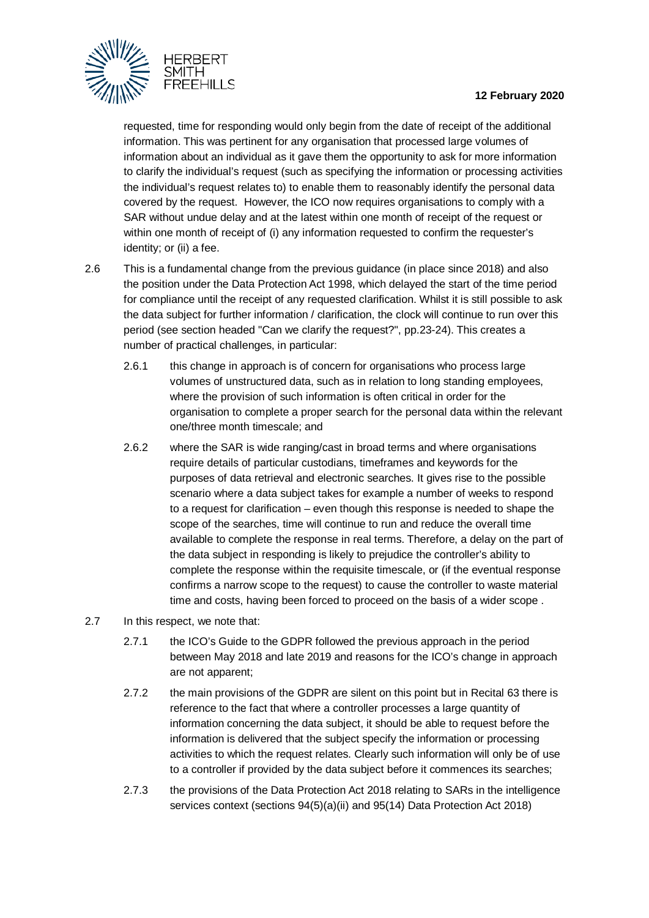

requested, time for responding would only begin from the date of receipt of the additional information. This was pertinent for any organisation that processed large volumes of information about an individual as it gave them the opportunity to ask for more information to clarify the individual's request (such as specifying the information or processing activities the individual's request relates to) to enable them to reasonably identify the personal data covered by the request. However, the ICO now requires organisations to comply with a SAR without undue delay and at the latest within one month of receipt of the request or within one month of receipt of (i) any information requested to confirm the requester's identity; or (ii) a fee.

- 2.6 This is a fundamental change from the previous guidance (in place since 2018) and also the position under the Data Protection Act 1998, which delayed the start of the time period for compliance until the receipt of any requested clarification. Whilst it is still possible to ask the data subject for further information / clarification, the clock will continue to run over this period (see section headed "Can we clarify the request?", pp.23-24). This creates a number of practical challenges, in particular:
	- 2.6.1 this change in approach is of concern for organisations who process large volumes of unstructured data, such as in relation to long standing employees, where the provision of such information is often critical in order for the organisation to complete a proper search for the personal data within the relevant one/three month timescale; and
	- 2.6.2 where the SAR is wide ranging/cast in broad terms and where organisations require details of particular custodians, timeframes and keywords for the purposes of data retrieval and electronic searches. It gives rise to the possible scenario where a data subject takes for example a number of weeks to respond to a request for clarification – even though this response is needed to shape the scope of the searches, time will continue to run and reduce the overall time available to complete the response in real terms. Therefore, a delay on the part of the data subject in responding is likely to prejudice the controller's ability to complete the response within the requisite timescale, or (if the eventual response confirms a narrow scope to the request) to cause the controller to waste material time and costs, having been forced to proceed on the basis of a wider scope .
- 2.7 In this respect, we note that:
	- 2.7.1 the ICO's Guide to the GDPR followed the previous approach in the period between May 2018 and late 2019 and reasons for the ICO's change in approach are not apparent;
	- 2.7.2 the main provisions of the GDPR are silent on this point but in Recital 63 there is reference to the fact that where a controller processes a large quantity of information concerning the data subject, it should be able to request before the information is delivered that the subject specify the information or processing activities to which the request relates. Clearly such information will only be of use to a controller if provided by the data subject before it commences its searches;
	- 2.7.3 the provisions of the Data Protection Act 2018 relating to SARs in the intelligence services context (sections 94(5)(a)(ii) and 95(14) Data Protection Act 2018)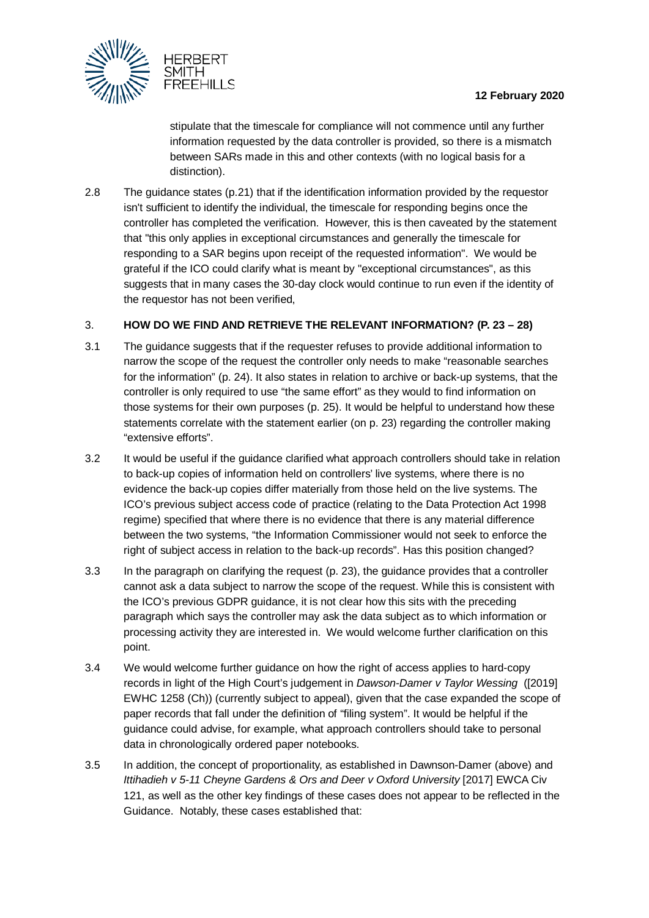

stipulate that the timescale for compliance will not commence until any further information requested by the data controller is provided, so there is a mismatch between SARs made in this and other contexts (with no logical basis for a distinction).

2.8 The guidance states (p.21) that if the identification information provided by the requestor isn't sufficient to identify the individual, the timescale for responding begins once the controller has completed the verification. However, this is then caveated by the statement that "this only applies in exceptional circumstances and generally the timescale for responding to a SAR begins upon receipt of the requested information". We would be grateful if the ICO could clarify what is meant by "exceptional circumstances", as this suggests that in many cases the 30-day clock would continue to run even if the identity of the requestor has not been verified,

## 3. **HOW DO WE FIND AND RETRIEVE THE RELEVANT INFORMATION? (P. 23 – 28)**

- 3.1 The guidance suggests that if the requester refuses to provide additional information to narrow the scope of the request the controller only needs to make "reasonable searches for the information" (p. 24). It also states in relation to archive or back-up systems, that the controller is only required to use "the same effort" as they would to find information on those systems for their own purposes (p. 25). It would be helpful to understand how these statements correlate with the statement earlier (on p. 23) regarding the controller making "extensive efforts".
- 3.2 It would be useful if the guidance clarified what approach controllers should take in relation to back-up copies of information held on controllers' live systems, where there is no evidence the back-up copies differ materially from those held on the live systems. The ICO's previous subject access code of practice (relating to the Data Protection Act 1998 regime) specified that where there is no evidence that there is any material difference between the two systems, "the Information Commissioner would not seek to enforce the right of subject access in relation to the back-up records". Has this position changed?
- 3.3 In the paragraph on clarifying the request (p. 23), the guidance provides that a controller cannot ask a data subject to narrow the scope of the request. While this is consistent with the ICO's previous GDPR guidance, it is not clear how this sits with the preceding paragraph which says the controller may ask the data subject as to which information or processing activity they are interested in. We would welcome further clarification on this point.
- 3.4 We would welcome further guidance on how the right of access applies to hard-copy records in light of the High Court's judgement in *Dawson-Damer v Taylor Wessing* ([2019] EWHC 1258 (Ch)) (currently subject to appeal), given that the case expanded the scope of paper records that fall under the definition of "filing system". It would be helpful if the guidance could advise, for example, what approach controllers should take to personal data in chronologically ordered paper notebooks.
- 3.5 In addition, the concept of proportionality, as established in Dawnson-Damer (above) and *Ittihadieh v 5-11 Cheyne Gardens & Ors and Deer v Oxford University* [2017] EWCA Civ 121, as well as the other key findings of these cases does not appear to be reflected in the Guidance. Notably, these cases established that: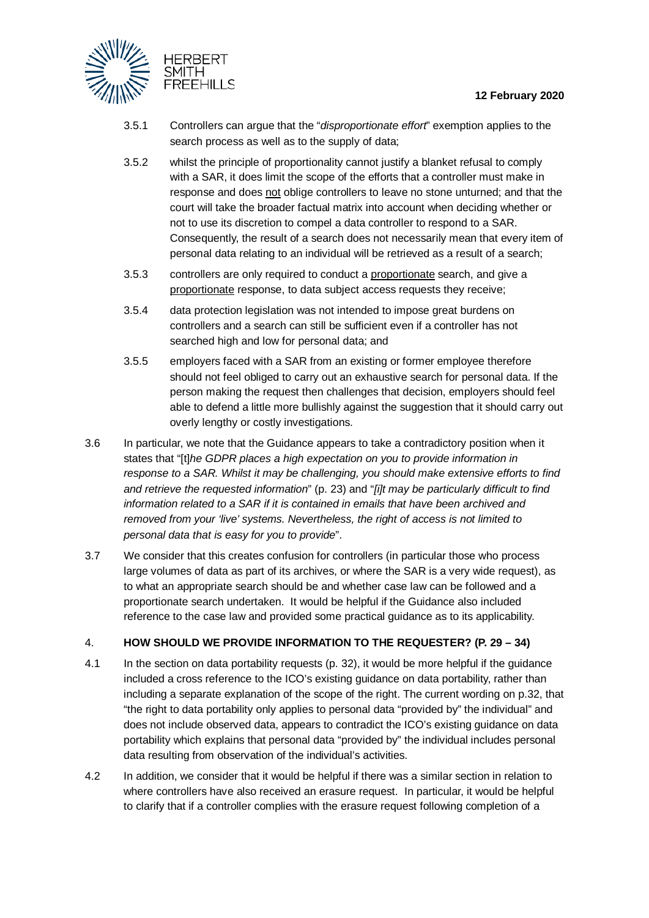

- 3.5.1 Controllers can argue that the "*disproportionate effort*" exemption applies to the search process as well as to the supply of data;
- 3.5.2 whilst the principle of proportionality cannot justify a blanket refusal to comply with a SAR, it does limit the scope of the efforts that a controller must make in response and does not oblige controllers to leave no stone unturned; and that the court will take the broader factual matrix into account when deciding whether or not to use its discretion to compel a data controller to respond to a SAR. Consequently, the result of a search does not necessarily mean that every item of personal data relating to an individual will be retrieved as a result of a search;
- 3.5.3 controllers are only required to conduct a proportionate search, and give a proportionate response, to data subject access requests they receive;
- 3.5.4 data protection legislation was not intended to impose great burdens on controllers and a search can still be sufficient even if a controller has not searched high and low for personal data; and
- 3.5.5 employers faced with a SAR from an existing or former employee therefore should not feel obliged to carry out an exhaustive search for personal data. If the person making the request then challenges that decision, employers should feel able to defend a little more bullishly against the suggestion that it should carry out overly lengthy or costly investigations.
- 3.6 In particular, we note that the Guidance appears to take a contradictory position when it states that "[t]*he GDPR places a high expectation on you to provide information in response to a SAR. Whilst it may be challenging, you should make extensive efforts to find and retrieve the requested information*" (p. 23) and "*[i]t may be particularly difficult to find information related to a SAR if it is contained in emails that have been archived and removed from your 'live' systems. Nevertheless, the right of access is not limited to personal data that is easy for you to provide*".
- 3.7 We consider that this creates confusion for controllers (in particular those who process large volumes of data as part of its archives, or where the SAR is a very wide request), as to what an appropriate search should be and whether case law can be followed and a proportionate search undertaken. It would be helpful if the Guidance also included reference to the case law and provided some practical guidance as to its applicability.

#### 4. **HOW SHOULD WE PROVIDE INFORMATION TO THE REQUESTER? (P. 29 – 34)**

- 4.1 In the section on data portability requests (p. 32), it would be more helpful if the guidance included a cross reference to the ICO's existing guidance on data portability, rather than including a separate explanation of the scope of the right. The current wording on p.32, that "the right to data portability only applies to personal data "provided by" the individual" and does not include observed data, appears to contradict the ICO's existing guidance on data portability which explains that personal data "provided by" the individual includes personal data resulting from observation of the individual's activities.
- 4.2 In addition, we consider that it would be helpful if there was a similar section in relation to where controllers have also received an erasure request. In particular, it would be helpful to clarify that if a controller complies with the erasure request following completion of a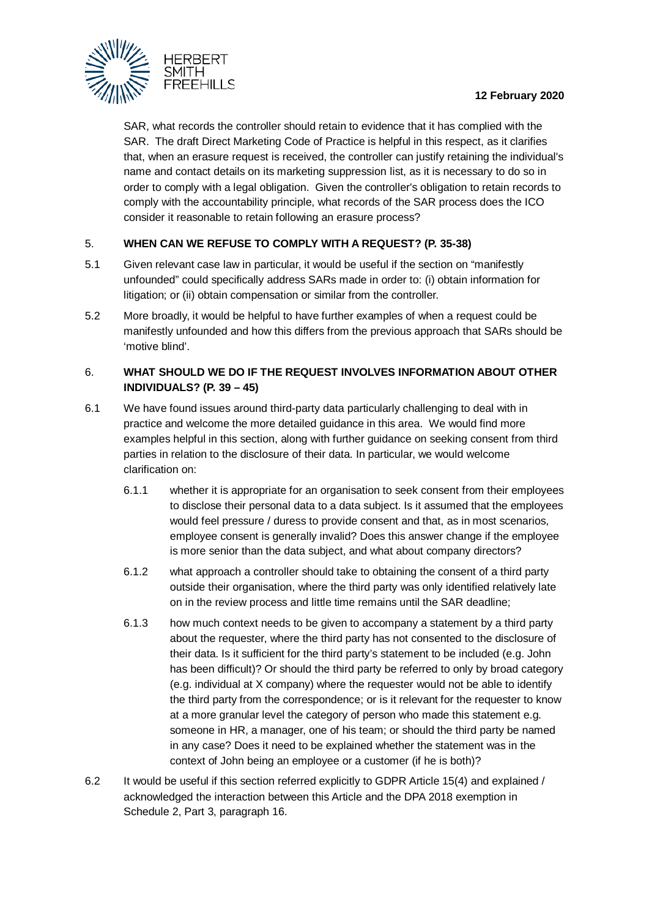

SAR, what records the controller should retain to evidence that it has complied with the SAR. The draft Direct Marketing Code of Practice is helpful in this respect, as it clarifies that, when an erasure request is received, the controller can justify retaining the individual's name and contact details on its marketing suppression list, as it is necessary to do so in order to comply with a legal obligation. Given the controller's obligation to retain records to comply with the accountability principle, what records of the SAR process does the ICO consider it reasonable to retain following an erasure process?

#### 5. **WHEN CAN WE REFUSE TO COMPLY WITH A REQUEST? (P. 35-38)**

- 5.1 Given relevant case law in particular, it would be useful if the section on "manifestly unfounded" could specifically address SARs made in order to: (i) obtain information for litigation; or (ii) obtain compensation or similar from the controller.
- 5.2 More broadly, it would be helpful to have further examples of when a request could be manifestly unfounded and how this differs from the previous approach that SARs should be 'motive blind'.

### 6. **WHAT SHOULD WE DO IF THE REQUEST INVOLVES INFORMATION ABOUT OTHER INDIVIDUALS? (P. 39 – 45)**

- 6.1 We have found issues around third-party data particularly challenging to deal with in practice and welcome the more detailed guidance in this area. We would find more examples helpful in this section, along with further guidance on seeking consent from third parties in relation to the disclosure of their data. In particular, we would welcome clarification on:
	- 6.1.1 whether it is appropriate for an organisation to seek consent from their employees to disclose their personal data to a data subject. Is it assumed that the employees would feel pressure / duress to provide consent and that, as in most scenarios, employee consent is generally invalid? Does this answer change if the employee is more senior than the data subject, and what about company directors?
	- 6.1.2 what approach a controller should take to obtaining the consent of a third party outside their organisation, where the third party was only identified relatively late on in the review process and little time remains until the SAR deadline;
	- 6.1.3 how much context needs to be given to accompany a statement by a third party about the requester, where the third party has not consented to the disclosure of their data. Is it sufficient for the third party's statement to be included (e.g. John has been difficult)? Or should the third party be referred to only by broad category (e.g. individual at X company) where the requester would not be able to identify the third party from the correspondence; or is it relevant for the requester to know at a more granular level the category of person who made this statement e.g. someone in HR, a manager, one of his team; or should the third party be named in any case? Does it need to be explained whether the statement was in the context of John being an employee or a customer (if he is both)?
- 6.2 It would be useful if this section referred explicitly to GDPR Article 15(4) and explained / acknowledged the interaction between this Article and the DPA 2018 exemption in Schedule 2, Part 3, paragraph 16.